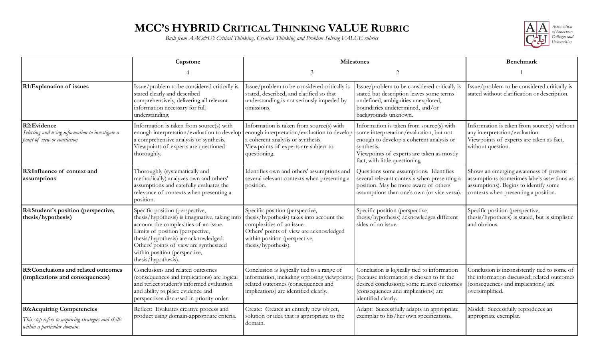## **MCC'S HYBRID CRITICAL THINKING VALUE RUBRIC**

*Built from AAC&U's Critical Thinking, Creative Thinking and Problem Solving VALUE rubrics*



|                                                                                                                        | Capstone                                                                                                                                                                                                                                                                                                 | <b>Milestones</b>                                                                                                                                                                                            |                                                                                                                                                                                                                              | Benchmark                                                                                                                                                              |
|------------------------------------------------------------------------------------------------------------------------|----------------------------------------------------------------------------------------------------------------------------------------------------------------------------------------------------------------------------------------------------------------------------------------------------------|--------------------------------------------------------------------------------------------------------------------------------------------------------------------------------------------------------------|------------------------------------------------------------------------------------------------------------------------------------------------------------------------------------------------------------------------------|------------------------------------------------------------------------------------------------------------------------------------------------------------------------|
|                                                                                                                        |                                                                                                                                                                                                                                                                                                          | 3                                                                                                                                                                                                            | $\overline{2}$                                                                                                                                                                                                               |                                                                                                                                                                        |
| R1:Explanation of issues                                                                                               | Issue/problem to be considered critically is<br>stated clearly and described<br>comprehensively, delivering all relevant<br>information necessary for full<br>understanding.                                                                                                                             | Issue/problem to be considered critically is<br>stated, described, and clarified so that<br>understanding is not seriously impeded by<br>omissions.                                                          | Issue/problem to be considered critically is<br>stated but description leaves some terms<br>undefined, ambiguities unexplored,<br>boundaries undetermined, and/or<br>backgrounds unknown.                                    | Issue/problem to be considered critically is<br>stated without clarification or description.                                                                           |
| R2:Evidence<br>Selecting and using information to investigate a<br>point of view or conclusion                         | Information is taken from source(s) with<br>enough interpretation/evaluation to develop<br>a comprehensive analysis or synthesis.<br>Viewpoints of experts are questioned<br>thoroughly.                                                                                                                 | Information is taken from source(s) with<br>enough interpretation/evaluation to develop<br>a coherent analysis or synthesis.<br>Viewpoints of experts are subject to<br>questioning.                         | Information is taken from source(s) with<br>some interpretation/evaluation, but not<br>enough to develop a coherent analysis or<br>synthesis.<br>Viewpoints of experts are taken as mostly<br>fact, with little questioning. | Information is taken from source(s) without<br>any interpretation/evaluation.<br>Viewpoints of experts are taken as fact,<br>without question.                         |
| R3: Influence of context and<br>assumptions                                                                            | Thoroughly (systematically and<br>methodically) analyzes own and others'<br>assumptions and carefully evaluates the<br>relevance of contexts when presenting a<br>position.                                                                                                                              | Identifies own and others' assumptions and<br>several relevant contexts when presenting a<br>position.                                                                                                       | Questions some assumptions. Identifies<br>several relevant contexts when presenting a<br>position. May be more aware of others'<br>assumptions than one's own (or vice versa).                                               | Shows an emerging awareness of present<br>assumptions (sometimes labels assertions as<br>assumptions). Begins to identify some<br>contexts when presenting a position. |
| R4:Student's position (perspective,<br>thesis/hypothesis)                                                              | Specific position (perspective,<br>thesis/hypothesis) is imaginative, taking into<br>account the complexities of an issue.<br>Limits of position (perspective,<br>thesis/hypothesis) are acknowledged.<br>Others' points of view are synthesized<br>within position (perspective,<br>thesis/hypothesis). | Specific position (perspective,<br>thesis/hypothesis) takes into account the<br>complexities of an issue.<br>Others' points of view are acknowledged<br>within position (perspective,<br>thesis/hypothesis). | Specific position (perspective,<br>thesis/hypothesis) acknowledges different<br>sides of an issue.                                                                                                                           | Specific position (perspective,<br>thesis/hypothesis) is stated, but is simplistic<br>and obvious.                                                                     |
| R5:Conclusions and related outcomes<br>(implications and consequences)                                                 | Conclusions and related outcomes<br>(consequences and implications) are logical<br>and reflect student's informed evaluation<br>and ability to place evidence and<br>perspectives discussed in priority order.                                                                                           | Conclusion is logically tied to a range of<br>information, including opposing viewpoints<br>related outcomes (consequences and<br>implications) are identified clearly.                                      | Conclusion is logically tied to information<br>(because information is chosen to fit the<br>desired conclusion); some related outcomes<br>(consequences and implications) are<br>identified clearly.                         | Conclusion is inconsistently tied to some of<br>the information discussed; related outcomes<br>(consequences and implications) are<br>oversimplified.                  |
| <b>R6:Acquiring Competencies</b><br>This step refers to acquiring strategies and skills<br>within a particular domain. | Reflect: Evaluates creative process and<br>product using domain-appropriate criteria.                                                                                                                                                                                                                    | Create: Creates an entirely new object,<br>solution or idea that is appropriate to the<br>domain.                                                                                                            | Adapt: Successfully adapts an appropriate<br>exemplar to his/her own specifications.                                                                                                                                         | Model: Successfully reproduces an<br>appropriate exemplar.                                                                                                             |